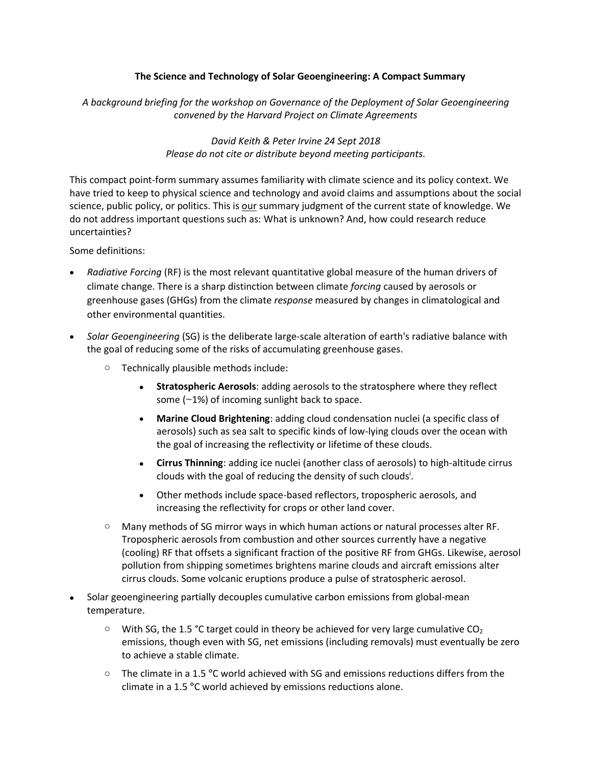## **The Science and Technology of Solar Geoengineering: A Compact Summary**

*A background briefing for the workshop on Governance of the Deployment of Solar Geoengineering convened by the Harvard Project on Climate Agreements*

> *David Keith & Peter Irvine 24 Sept 2018 Please do not cite or distribute beyond meeting participants.*

This compact point-form summary assumes familiarity with climate science and its policy context. We have tried to keep to physical science and technology and avoid claims and assumptions about the social science, public policy, or politics. This is our summary judgment of the current state of knowledge. We do not address important questions such as: What is unknown? And, how could research reduce uncertainties?

Some definitions:

- *Radiative Forcing* (RF) is the most relevant quantitative global measure of the human drivers of climate change. There is a sharp distinction between climate *forcing* caused by aerosols or greenhouse gases (GHGs) from the climate *response* measured by changes in climatological and other environmental quantities.
- *Solar Geoengineering* (SG) is the deliberate large-scale alteration of earth's radiative balance with the goal of reducing some of the risks of accumulating greenhouse gases.
	- o Technically plausible methods include:
		- **Stratospheric Aerosols**: adding aerosols to the stratosphere where they reflect some (~1%) of incoming sunlight back to space.
		- **Marine Cloud Brightening**: adding cloud condensation nuclei (a specific class of aerosols) such as sea salt to specific kinds of low-lying clouds over the ocean with the goal of increasing the reflectivity or lifetime of these clouds.
		- **Cirrus Thinning**: adding ice nuclei (another class of aerosols) to high-altitude cirrus clouds with the goal of reducing the density of such clouds<sup>i</sup>.
		- Other methods include space-based reflectors, tropospheric aerosols, and increasing the reflectivity for crops or other land cover.
	- $\circ$  Many methods of SG mirror ways in which human actions or natural processes alter RF. Tropospheric aerosols from combustion and other sources currently have a negative (cooling) RF that offsets a significant fraction of the positive RF from GHGs. Likewise, aerosol pollution from shipping sometimes brightens marine clouds and aircraft emissions alter cirrus clouds. Some volcanic eruptions produce a pulse of stratospheric aerosol.
- Solar geoengineering partially decouples cumulative carbon emissions from global-mean temperature.
	- $\circ$  With SG, the 1.5 °C target could in theory be achieved for very large cumulative CO<sub>2</sub> emissions, though even with SG, net emissions (including removals) must eventually be zero to achieve a stable climate.
	- o The climate in a 1.5 **°**C world achieved with SG and emissions reductions differs from the climate in a 1.5 **°**C world achieved by emissions reductions alone.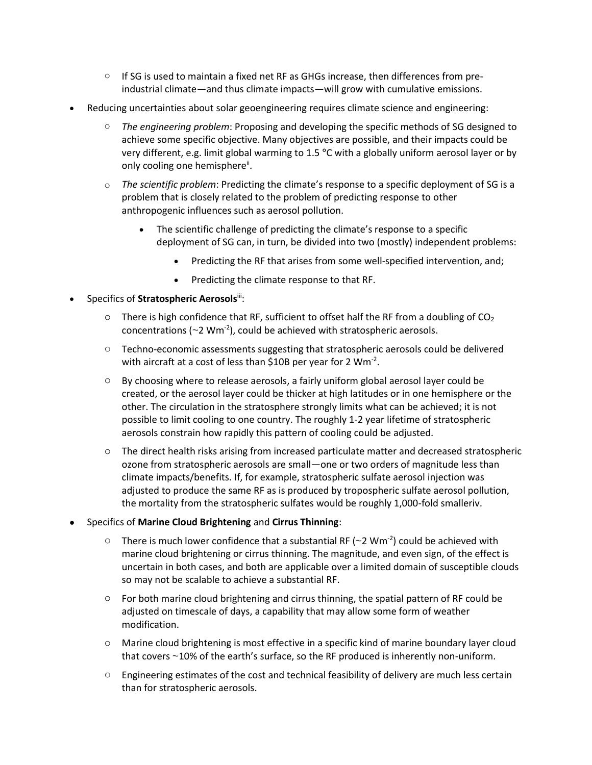- $\circ$  If SG is used to maintain a fixed net RF as GHGs increase, then differences from preindustrial climate—and thus climate impacts—will grow with cumulative emissions.
- Reducing uncertainties about solar geoengineering requires climate science and engineering:
	- o *The engineering problem*: Proposing and developing the specific methods of SG designed to achieve some specific objective. Many objectives are possible, and their impacts could be very different, e.g. limit global warming to 1.5 **°**C with a globally uniform aerosol layer or by only cooling one hemisphere".
	- o *The scientific problem*: Predicting the climate's response to a specific deployment of SG is a problem that is closely related to the problem of predicting response to other anthropogenic influences such as aerosol pollution.
		- The scientific challenge of predicting the climate's response to a specific deployment of SG can, in turn, be divided into two (mostly) independent problems:
			- Predicting the RF that arises from some well-specified intervention, and;
			- Predicting the climate response to that RF.
- Specifics of **Stratospheric Aerosols**iii:
	- $\circ$  There is high confidence that RF, sufficient to offset half the RF from a doubling of CO<sub>2</sub> concentrations ( $\sim$ 2 Wm<sup>-2</sup>), could be achieved with stratospheric aerosols.
	- $\circ$  Techno-economic assessments suggesting that stratospheric aerosols could be delivered with aircraft at a cost of less than \$10B per year for 2  $Wm<sup>-2</sup>$ .
	- o By choosing where to release aerosols, a fairly uniform global aerosol layer could be created, or the aerosol layer could be thicker at high latitudes or in one hemisphere or the other. The circulation in the stratosphere strongly limits what can be achieved; it is not possible to limit cooling to one country. The roughly 1-2 year lifetime of stratospheric aerosols constrain how rapidly this pattern of cooling could be adjusted.
	- $\circ$  The direct health risks arising from increased particulate matter and decreased stratospheric ozone from stratospheric aerosols are small—one or two orders of magnitude less than climate impacts/benefits. If, for example, stratospheric sulfate aerosol injection was adjusted to produce the same RF as is produced by tropospheric sulfate aerosol pollution, the mortality from the stratospheric sulfates would be roughly 1,000-fold smalleriv.
- Specifics of **Marine Cloud Brightening** and **Cirrus Thinning**:
	- $\circ$  There is much lower confidence that a substantial RF (~2 Wm<sup>-2</sup>) could be achieved with marine cloud brightening or cirrus thinning. The magnitude, and even sign, of the effect is uncertain in both cases, and both are applicable over a limited domain of susceptible clouds so may not be scalable to achieve a substantial RF.
	- $\circ$  For both marine cloud brightening and cirrus thinning, the spatial pattern of RF could be adjusted on timescale of days, a capability that may allow some form of weather modification.
	- o Marine cloud brightening is most effective in a specific kind of marine boundary layer cloud that covers ~10% of the earth's surface, so the RF produced is inherently non-uniform.
	- $\circ$  Engineering estimates of the cost and technical feasibility of delivery are much less certain than for stratospheric aerosols.